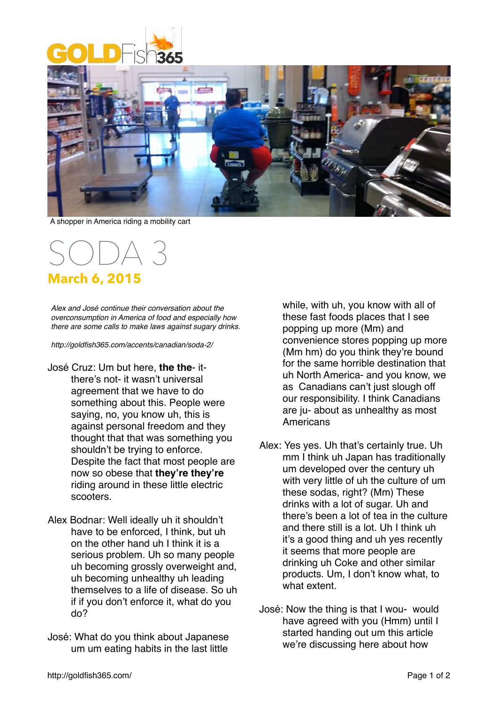



A shopper in America riding a mobility cart

## SODA 3 **March 6, 2015**

*Alex and José continue their conversation about the overconsumption in America of food and especially how there are some calls to make laws against sugary drinks.*

*http://goldfish365.com/accents/canadian/soda-2/*

- José Cruz: Um but here, **the the** itthere's not- it wasn't universal agreement that we have to do something about this. People were saying, no, you know uh, this is against personal freedom and they thought that that was something you shouldn't be trying to enforce. Despite the fact that most people are now so obese that **they're they're** riding around in these little electric scooters.
- Alex Bodnar: Well ideally uh it shouldn't have to be enforced, I think, but uh on the other hand uh I think it is a serious problem. Uh so many people uh becoming grossly overweight and, uh becoming unhealthy uh leading themselves to a life of disease. So uh if if you don't enforce it, what do you do?
- José: What do you think about Japanese um um eating habits in the last little

while, with uh, you know with all of these fast foods places that I see popping up more (Mm) and convenience stores popping up more (Mm hm) do you think they're bound for the same horrible destination that uh North America- and you know, we as Canadians can't just slough off our responsibility. I think Canadians are ju- about as unhealthy as most **Americans** 

- Alex: Yes yes. Uh that's certainly true. Uh mm I think uh Japan has traditionally um developed over the century uh with very little of uh the culture of um these sodas, right? (Mm) These drinks with a lot of sugar. Uh and there's been a lot of tea in the culture and there still is a lot. Uh I think uh it's a good thing and uh yes recently it seems that more people are drinking uh Coke and other similar products. Um, I don't know what, to what extent.
- José: Now the thing is that I wou- would have agreed with you (Hmm) until I started handing out um this article we're discussing here about how